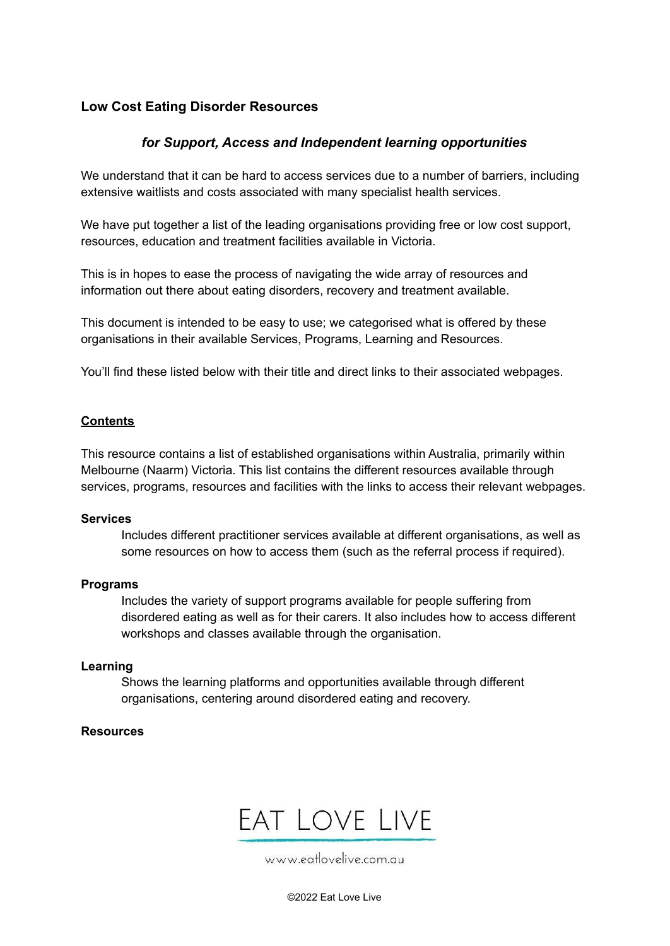### **Low Cost Eating Disorder Resources**

### *for Support, Access and Independent learning opportunities*

We understand that it can be hard to access services due to a number of barriers, including extensive waitlists and costs associated with many specialist health services.

We have put together a list of the leading organisations providing free or low cost support, resources, education and treatment facilities available in Victoria.

This is in hopes to ease the process of navigating the wide array of resources and information out there about eating disorders, recovery and treatment available.

This document is intended to be easy to use; we categorised what is offered by these organisations in their available Services, Programs, Learning and Resources.

You'll find these listed below with their title and direct links to their associated webpages.

### **Contents**

This resource contains a list of established organisations within Australia, primarily within Melbourne (Naarm) Victoria. This list contains the different resources available through services, programs, resources and facilities with the links to access their relevant webpages.

#### **Services**

Includes different practitioner services available at different organisations, as well as some resources on how to access them (such as the referral process if required).

#### **Programs**

Includes the variety of support programs available for people suffering from disordered eating as well as for their carers. It also includes how to access different workshops and classes available through the organisation.

#### **Learning**

Shows the learning platforms and opportunities available through different organisations, centering around disordered eating and recovery.

#### **Resources**



www.eatlovelive.com.au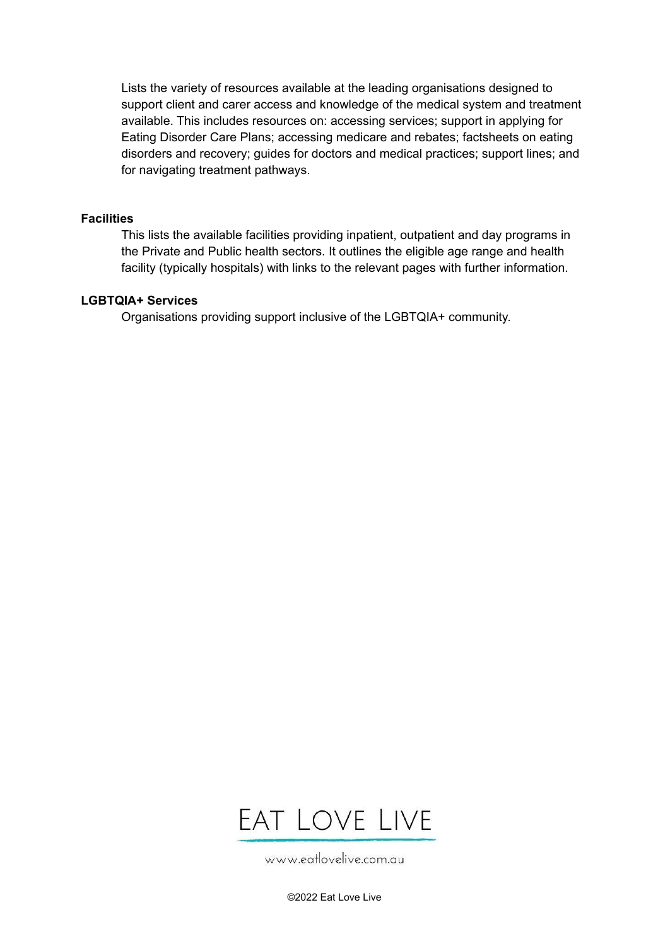Lists the variety of resources available at the leading organisations designed to support client and carer access and knowledge of the medical system and treatment available. This includes resources on: accessing services; support in applying for Eating Disorder Care Plans; accessing medicare and rebates; factsheets on eating disorders and recovery; guides for doctors and medical practices; support lines; and for navigating treatment pathways.

#### **Facilities**

This lists the available facilities providing inpatient, outpatient and day programs in the Private and Public health sectors. It outlines the eligible age range and health facility (typically hospitals) with links to the relevant pages with further information.

#### **LGBTQIA+ Services**

Organisations providing support inclusive of the LGBTQIA+ community.



www.eatlovelive.com.au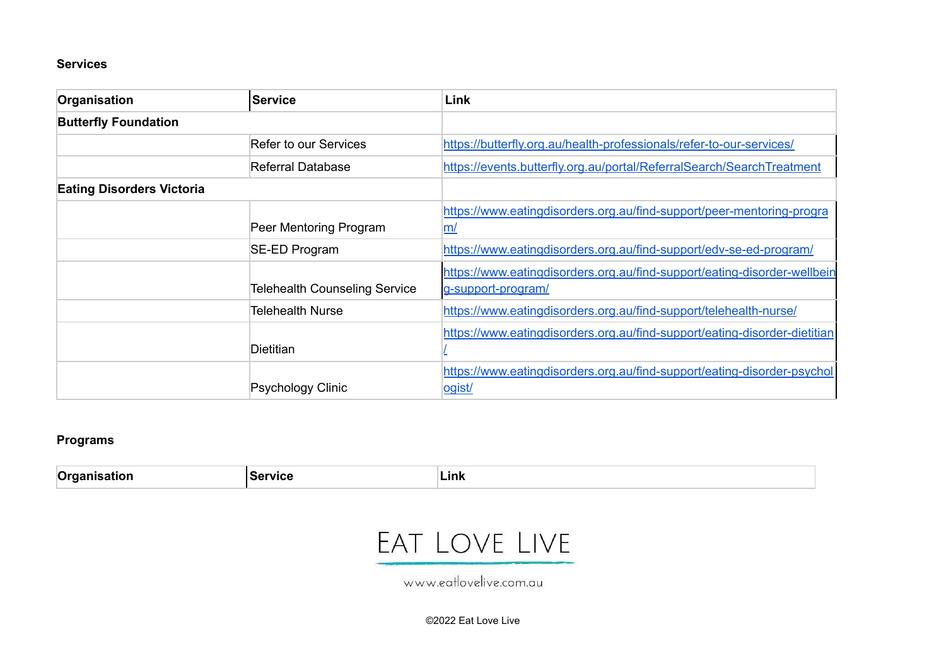### **Services**

| Organisation                     | <b>Service</b>                       | Link                                                                                           |
|----------------------------------|--------------------------------------|------------------------------------------------------------------------------------------------|
| <b>Butterfly Foundation</b>      |                                      |                                                                                                |
|                                  | Refer to our Services                | https://butterfly.org.au/health-professionals/refer-to-our-services/                           |
|                                  | Referral Database                    | https://events.butterfly.org.au/portal/ReferralSearch/SearchTreatment                          |
| <b>Eating Disorders Victoria</b> |                                      |                                                                                                |
|                                  | Peer Mentoring Program               | https://www.eatingdisorders.org.au/find-support/peer-mentoring-progra<br>m/                    |
|                                  | SE-ED Program                        | https://www.eatingdisorders.org.au/find-support/edv-se-ed-program/                             |
|                                  | <b>Telehealth Counseling Service</b> | https://www.eatingdisorders.org.au/find-support/eating-disorder-wellbein<br>g-support-program/ |
|                                  | <b>Telehealth Nurse</b>              | https://www.eatingdisorders.org.au/find-support/telehealth-nurse/                              |
|                                  | <b>Dietitian</b>                     | https://www.eatingdisorders.org.au/find-support/eating-disorder-dietitian                      |
|                                  | Psychology Clinic                    | https://www.eatingdisorders.org.au/find-support/eating-disorder-psychol<br>ogist/              |

### **Programs**

| - | .<br>-uus |
|---|-----------|
|   |           |

## EAT LOVE LIVE

www.eatlovelive.com.au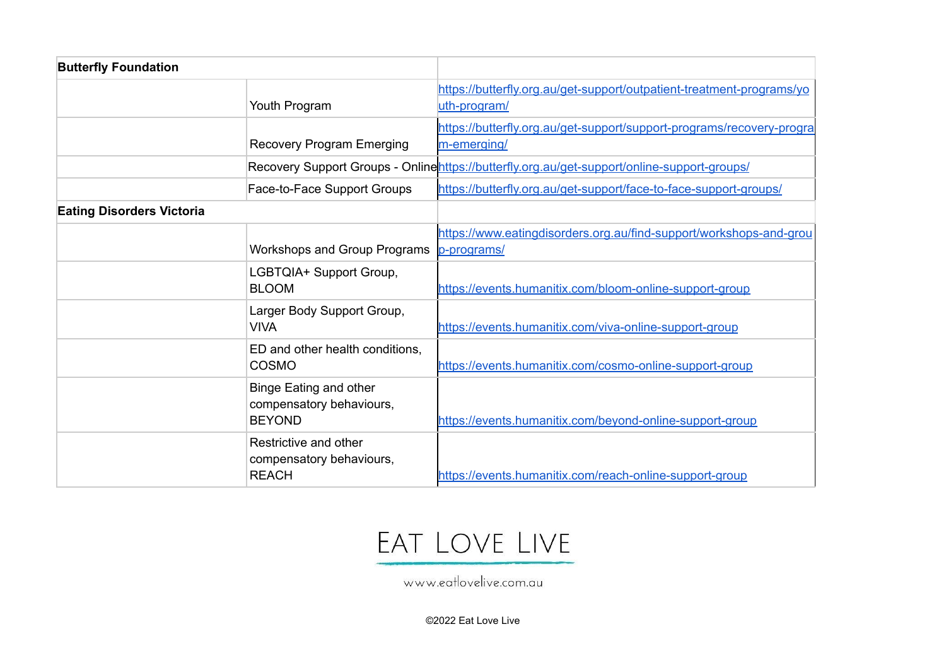| <b>Butterfly Foundation</b>      |                                                                            |                                                                                             |
|----------------------------------|----------------------------------------------------------------------------|---------------------------------------------------------------------------------------------|
|                                  | Youth Program                                                              | https://butterfly.org.au/get-support/outpatient-treatment-programs/yo<br>uth-program/       |
|                                  | <b>Recovery Program Emerging</b>                                           | https://butterfly.org.au/get-support/support-programs/recovery-progra<br>m-emerging/        |
|                                  |                                                                            | Recovery Support Groups - Onlinehttps://butterfly.org.au/get-support/online-support-groups/ |
|                                  | Face-to-Face Support Groups                                                | https://butterfly.org.au/get-support/face-to-face-support-groups/                           |
| <b>Eating Disorders Victoria</b> |                                                                            |                                                                                             |
|                                  | Workshops and Group Programs                                               | https://www.eatingdisorders.org.au/find-support/workshops-and-grou<br>p-programs/           |
|                                  | LGBTQIA+ Support Group,<br><b>BLOOM</b>                                    | https://events.humanitix.com/bloom-online-support-group                                     |
|                                  | Larger Body Support Group,<br><b>VIVA</b>                                  | https://events.humanitix.com/viva-online-support-group                                      |
|                                  | ED and other health conditions,<br>COSMO                                   | https://events.humanitix.com/cosmo-online-support-group                                     |
|                                  | <b>Binge Eating and other</b><br>compensatory behaviours,<br><b>BEYOND</b> | https://events.humanitix.com/beyond-online-support-group                                    |
|                                  | Restrictive and other<br>compensatory behaviours,<br><b>REACH</b>          | https://events.humanitix.com/reach-online-support-group                                     |

## EAT LOVE LIVE

www.eatlovelive.com.au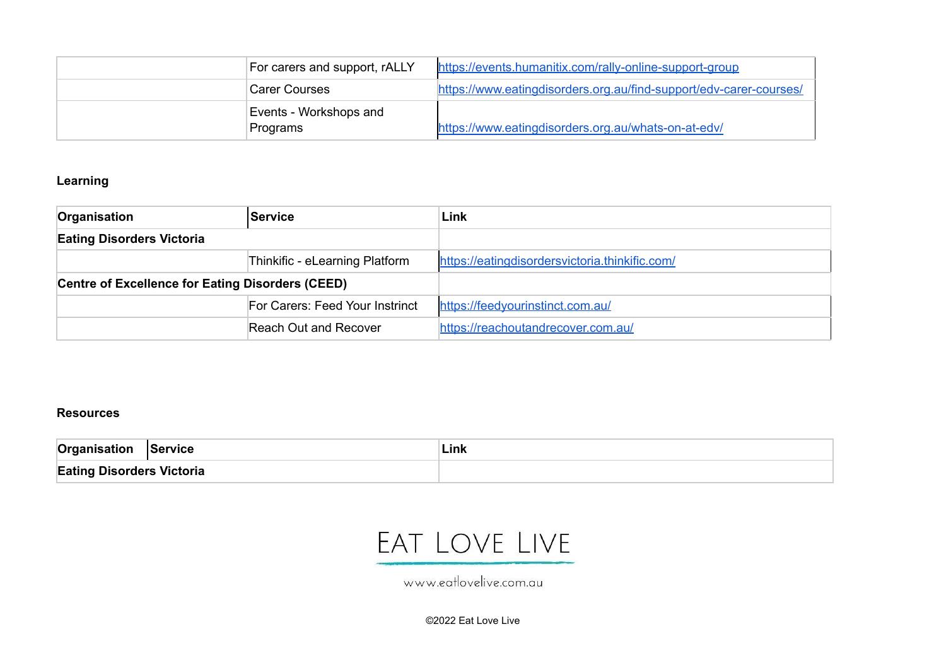| For carers and support, rALLY | https://events.humanitix.com/rally-online-support-group            |
|-------------------------------|--------------------------------------------------------------------|
| Carer Courses                 | https://www.eatingdisorders.org.au/find-support/edv-carer-courses/ |
| Events - Workshops and        |                                                                    |
| Programs                      | https://www.eatingdisorders.org.au/whats-on-at-edv/                |

### **Learning**

| Organisation                                     | <b>Service</b>                  | Link                                           |
|--------------------------------------------------|---------------------------------|------------------------------------------------|
| <b>Eating Disorders Victoria</b>                 |                                 |                                                |
|                                                  | Thinkific - eLearning Platform  | https://eatingdisordersvictoria.thinkific.com/ |
| Centre of Excellence for Eating Disorders (CEED) |                                 |                                                |
|                                                  | For Carers: Feed Your Instrinct | https://feedvourinstinct.com.au/               |
|                                                  | Reach Out and Recover           | https://reachoutandrecover.com.au/             |

### **Resources**

| Organisation                     | <b>Service</b> | Link. |
|----------------------------------|----------------|-------|
| <b>Eating Disorders Victoria</b> |                |       |

## EAT LOVE LIVE

www.eatlovelive.com.au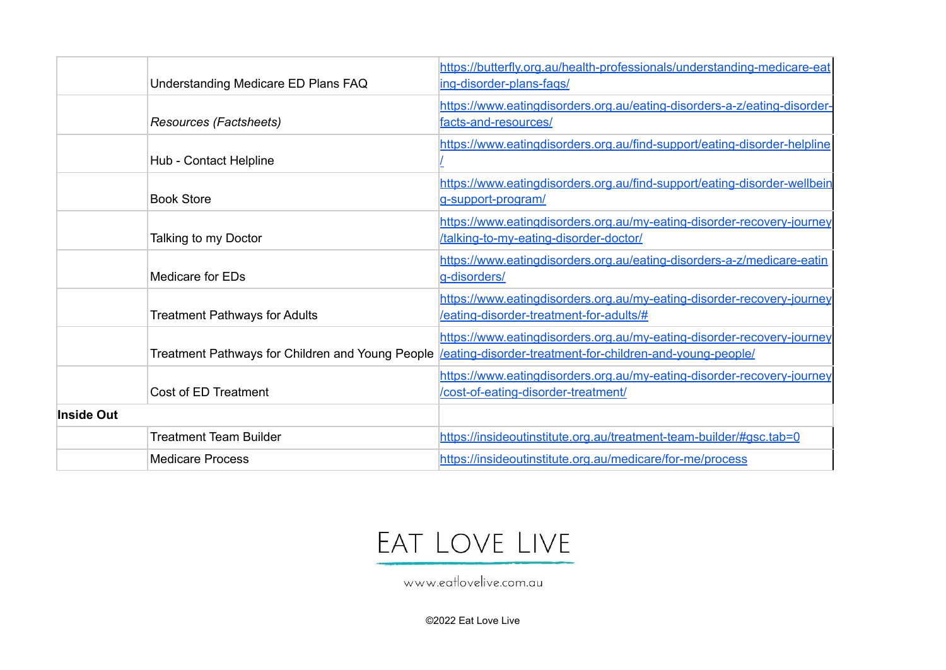| Understanding Medicare ED Plans FAQ              | https://butterfly.org.au/health-professionals/understanding-medicare-eat<br>ing-disorder-plans-fags/                                |
|--------------------------------------------------|-------------------------------------------------------------------------------------------------------------------------------------|
| Resources (Factsheets)                           | https://www.eatingdisorders.org.au/eating-disorders-a-z/eating-disorder-<br>facts-and-resources/                                    |
| Hub - Contact Helpline                           | https://www.eatingdisorders.org.au/find-support/eating-disorder-helpline                                                            |
| <b>Book Store</b>                                | https://www.eatingdisorders.org.au/find-support/eating-disorder-wellbein<br>g-support-program/                                      |
| Talking to my Doctor                             | https://www.eatingdisorders.org.au/my-eating-disorder-recovery-journey<br>/talking-to-my-eating-disorder-doctor/                    |
| Medicare for EDs                                 | https://www.eatingdisorders.org.au/eating-disorders-a-z/medicare-eatin<br>g-disorders/                                              |
| <b>Treatment Pathways for Adults</b>             | https://www.eatingdisorders.org.au/my-eating-disorder-recovery-journey<br>/eating-disorder-treatment-for-adults/#                   |
| Treatment Pathways for Children and Young People | https://www.eatingdisorders.org.au/my-eating-disorder-recovery-journey<br>/eating-disorder-treatment-for-children-and-young-people/ |
| Cost of ED Treatment                             | https://www.eatingdisorders.org.au/my-eating-disorder-recovery-journey<br>/cost-of-eating-disorder-treatment/                       |
| Inside Out                                       |                                                                                                                                     |
| <b>Treatment Team Builder</b>                    | https://insideoutinstitute.org.au/treatment-team-builder/#gsc.tab=0                                                                 |
| <b>Medicare Process</b>                          | https://insideoutinstitute.org.au/medicare/for-me/process                                                                           |

## EAT LOVE LIVE

www.eatlovelive.com.au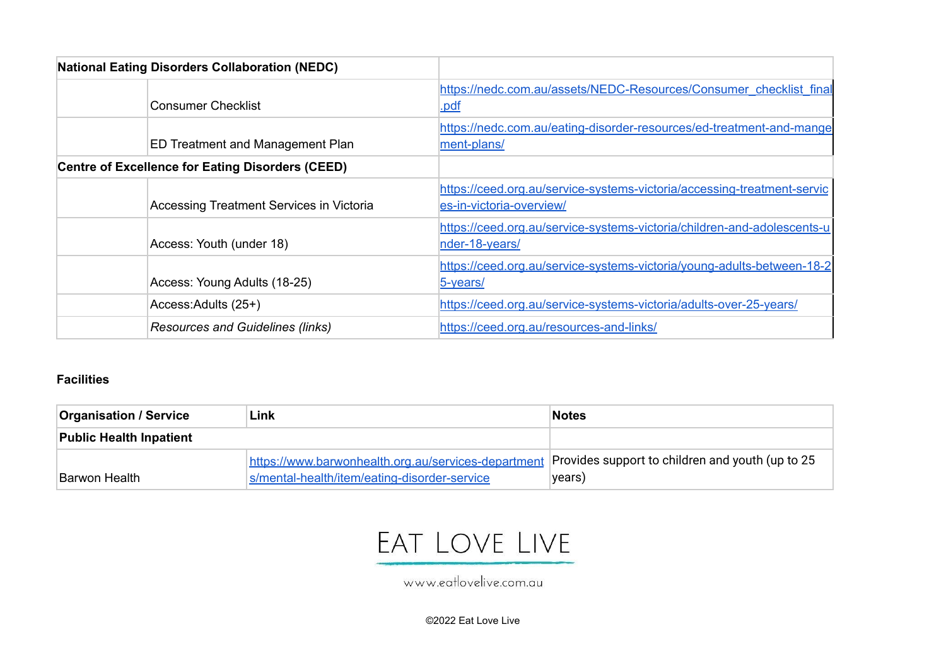| <b>National Eating Disorders Collaboration (NEDC)</b>   |                                                                                                     |
|---------------------------------------------------------|-----------------------------------------------------------------------------------------------------|
| <b>Consumer Checklist</b>                               | https://nedc.com.au/assets/NEDC-Resources/Consumer_checklist_final<br>.pdf                          |
| <b>ED Treatment and Management Plan</b>                 | https://nedc.com.au/eating-disorder-resources/ed-treatment-and-mange<br>ment-plans/                 |
| <b>Centre of Excellence for Eating Disorders (CEED)</b> |                                                                                                     |
| Accessing Treatment Services in Victoria                | https://ceed.org.au/service-systems-victoria/accessing-treatment-servic<br>es-in-victoria-overview/ |
| Access: Youth (under 18)                                | https://ceed.org.au/service-systems-victoria/children-and-adolescents-u<br>nder-18-years/           |
| Access: Young Adults (18-25)                            | https://ceed.org.au/service-systems-victoria/young-adults-between-18-2<br>5-years/                  |
| Access: Adults (25+)                                    | https://ceed.org.au/service-systems-victoria/adults-over-25-years/                                  |
| <b>Resources and Guidelines (links)</b>                 | https://ceed.org.au/resources-and-links/                                                            |

### **Facilities**

| Link<br><b>Organisation / Service</b> |                                                     | <b>Notes</b>                                     |
|---------------------------------------|-----------------------------------------------------|--------------------------------------------------|
| <b>Public Health Inpatient</b>        |                                                     |                                                  |
|                                       | https://www.barwonhealth.org.au/services-department | Provides support to children and youth (up to 25 |
| Barwon Health                         | s/mental-health/item/eating-disorder-service        | years)                                           |

# EAT LOVE LIVE

www.eatlovelive.com.au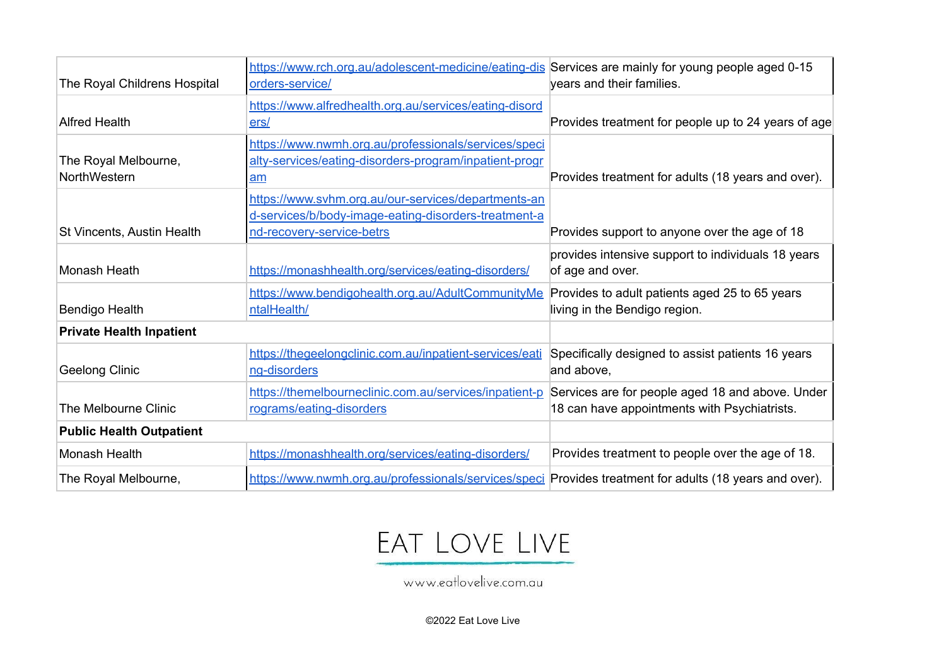| The Royal Childrens Hospital         | https://www.rch.org.au/adolescent-medicine/eating-dis Services are mainly for young people aged 0-15<br>orders-service/                  | years and their families.                                                                        |
|--------------------------------------|------------------------------------------------------------------------------------------------------------------------------------------|--------------------------------------------------------------------------------------------------|
| <b>Alfred Health</b>                 | https://www.alfredhealth.org.au/services/eating-disord<br>ers/                                                                           | Provides treatment for people up to 24 years of age                                              |
| The Royal Melbourne,<br>NorthWestern | https://www.nwmh.org.au/professionals/services/speci<br>alty-services/eating-disorders-program/inpatient-progr<br>am                     | Provides treatment for adults (18 years and over).                                               |
| St Vincents, Austin Health           | https://www.svhm.org.au/our-services/departments-an<br>d-services/b/body-image-eating-disorders-treatment-a<br>nd-recovery-service-betrs | Provides support to anyone over the age of 18                                                    |
| Monash Heath                         | https://monashhealth.org/services/eating-disorders/                                                                                      | provides intensive support to individuals 18 years<br>of age and over.                           |
| <b>Bendigo Health</b>                | https://www.bendigohealth.org.au/AdultCommunityMe Provides to adult patients aged 25 to 65 years<br>ntalHealth/                          | living in the Bendigo region.                                                                    |
| <b>Private Health Inpatient</b>      |                                                                                                                                          |                                                                                                  |
| Geelong Clinic                       | https://thegeelongclinic.com.au/inpatient-services/eati<br>ng-disorders                                                                  | Specifically designed to assist patients 16 years<br>and above,                                  |
| The Melbourne Clinic                 | https://themelbourneclinic.com.au/services/inpatient-p<br>rograms/eating-disorders                                                       | Services are for people aged 18 and above. Under<br>18 can have appointments with Psychiatrists. |
| <b>Public Health Outpatient</b>      |                                                                                                                                          |                                                                                                  |
| Monash Health                        | https://monashhealth.org/services/eating-disorders/                                                                                      | Provides treatment to people over the age of 18.                                                 |
| The Royal Melbourne,                 | https://www.nwmh.org.au/professionals/services/speci Provides treatment for adults (18 years and over).                                  |                                                                                                  |

# EAT LOVE LIVE

www.eatlovelive.com.au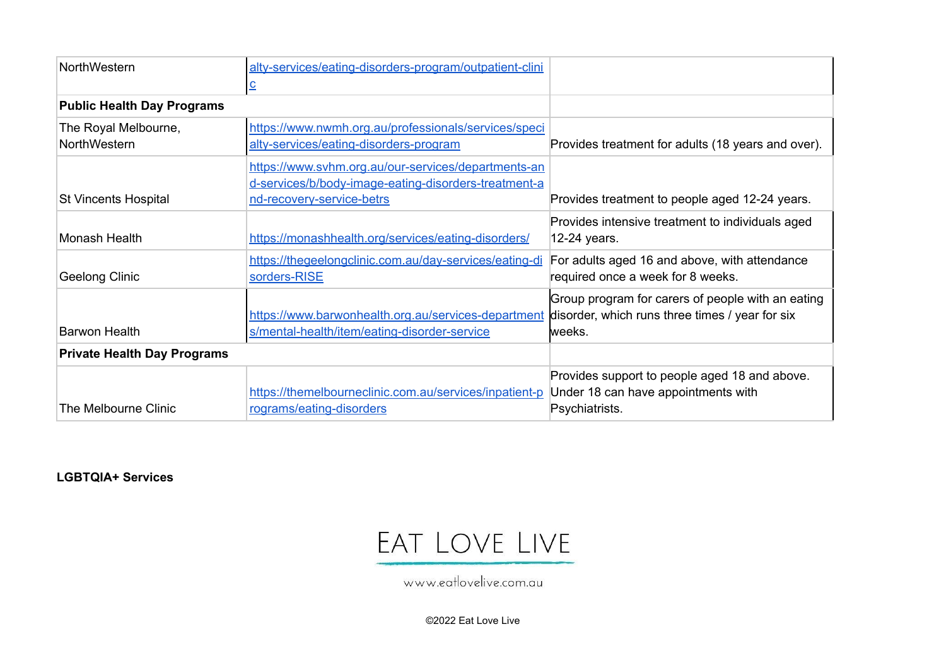| NorthWestern                       | alty-services/eating-disorders-program/outpatient-clini |                                                    |
|------------------------------------|---------------------------------------------------------|----------------------------------------------------|
|                                    |                                                         |                                                    |
| <b>Public Health Day Programs</b>  |                                                         |                                                    |
| The Royal Melbourne,               | https://www.nwmh.org.au/professionals/services/speci    |                                                    |
| NorthWestern                       | alty-services/eating-disorders-program                  | Provides treatment for adults (18 years and over). |
|                                    | https://www.syhm.org.au/our-services/departments-an     |                                                    |
|                                    | d-services/b/body-image-eating-disorders-treatment-a    |                                                    |
| St Vincents Hospital               | nd-recovery-service-betrs                               | Provides treatment to people aged 12-24 years.     |
|                                    |                                                         | Provides intensive treatment to individuals aged   |
| Monash Health                      | https://monashhealth.org/services/eating-disorders/     | 12-24 years.                                       |
|                                    | https://thegeelongclinic.com.au/day-services/eating-di  | For adults aged 16 and above, with attendance      |
| Geelong Clinic                     | sorders-RISE                                            | required once a week for 8 weeks.                  |
|                                    |                                                         | Group program for carers of people with an eating  |
|                                    | https://www.barwonhealth.org.au/services-department     | disorder, which runs three times / year for six    |
| <b>Barwon Health</b>               | s/mental-health/item/eating-disorder-service            | lweeks.                                            |
| <b>Private Health Day Programs</b> |                                                         |                                                    |
|                                    |                                                         | Provides support to people aged 18 and above.      |
|                                    | https://themelbourneclinic.com.au/services/inpatient-p  | Under 18 can have appointments with                |
| The Melbourne Clinic               | rograms/eating-disorders                                | Psychiatrists.                                     |

**LGBTQIA+ Services**

## EAT LOVE LIVE

www.eatlovelive.com.au